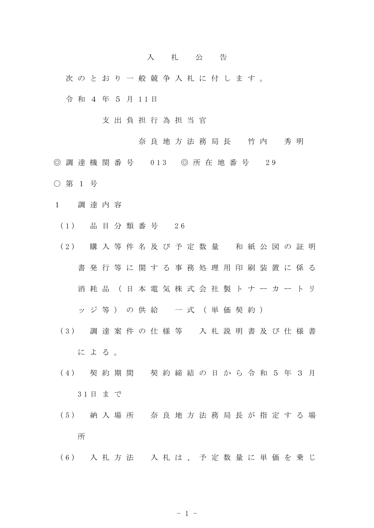## 入 札 公 告

次 の と お り 一 般 競 争 入 札 に 付 し ま す 。

令 和 4 年 5 月 1 1 日

- 支 出 負 担 行 為 担 当 官
	- 奈 良 地 方 法 務 局 長 竹 内 秀 明
- ◎ 調 達 機 関 番 号 013 ◎ 所 在 地 番 号 29
- 第 1 号
- 1 調 達 内 容
	- ( 1 ) 品 目 分 類 番 号 2 6
	- (2) 購入等件名及び予定数量 和紙公図の証明 書 発 行 等 に 関 す る 事 務 処 理 用 印 刷 装 置 に 係 る 消 耗 品 ( 日 本 電 気 株 式 会 社 製 ト ナ ー カ ー ト リ

ッジ等)の供給 一式 (単価契約)

- ( 3 ) 調 達 案 件 の 仕 様 等 入 札 説 明 書 及 び 仕 様 書 に よ る 。
- ( 4 ) 契 約 期 間 契 約 締 結 の 日 か ら 令 和 5 年 3 月 3 1 日 ま で
- ( 5 ) 納 入 場 所 奈 良 地 方 法 務 局 長 が 指 定 す る 場 所
- ( 6 ) 入 札 方 法 入 札 は 、 予 定 数 量 に 単 価 を 乗 じ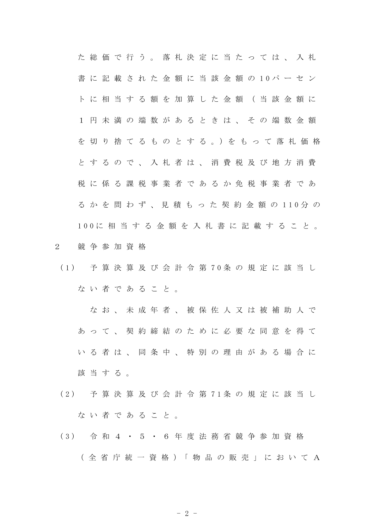た 総 価 で 行 う 。 落 札 決 定 に 当 た っ て は 、 入 札 書 に 記 載 さ れ た 金 額 に 当 該 金 額 の 1 0 パ ー セ ン ト に 相 当 す る 額 を 加 算 し た 金 額 ( 当 該 金 額 に 1 円 未 満 の 端 数 が あ る と き は 、 そ の 端 数 金 額 を 切 り 捨 て る も の と す る 。)を も っ て 落 札 価 格 と す る の で 、 入 札 者 は 、 消 費 税 及 び 地 方 消 費 税 に 係 る 課 税 事 業 者 で あ る か 免 税 事 業 者 で あ る か を 問 わ ず 、 見 積 も っ た 契 約 金 額 の 1 1 0 分 の 1 0 0 に 相 当 す る 金 額 を 入 札 書 に 記 載 す る こ と 。

- 2 競 争 参 加 資 格
- ( 1 ) 予 算 決 算 及 び 会 計 令 第 7 0 条 の 規 定 に 該 当 し ない者であること。

な お 、 未 成 年 者 、 被 保 佐 人 又 は 被 補 助 人 で あ っ て 、 契 約 締 結 の た め に 必 要 な 同 意 を 得 て い る 者 は 、 同 条 中 、 特 別 の 理 由 が あ る 場 合 に 該当する。

- ( 2 ) 予 算 決 算 及 び 会 計 令 第 7 1 条 の 規 定 に 該 当 し な い 者 で あ る こ と 。
- ( 3 ) 令 和 4 ・ 5 ・ 6 年 度 法 務 省 競 争 参 加 資 格 ( 全 省 庁 統 一 資 格 )「 物 品 の 販 売 」 に お い て A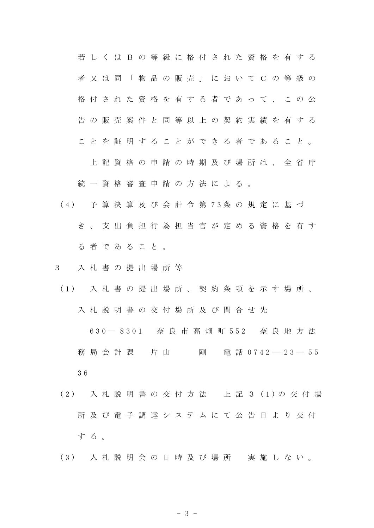若 し く は B の 等 級 に 格 付 さ れ た 資 格 を 有 す る 者 又 は 同 「 物 品 の 販 売 」 に お い て C の 等 級 の 格 付 さ れ た 資 格 を 有 す る 者 で あ っ て 、 こ の 公 告 の 販 売 案 件 と 同 等 以 上 の 契 約 実 績 を 有 す る こ と を 証 明 す る こ と が で き る 者 で あ る こ と 。

上 記 資 格 の 申 請 の 時 期 及 び 場 所 は 、 全 省 庁 統一資格審査申請の方法による。

- ( 4 ) 予 算 決 算 及 び 会 計 令 第 7 3 条 の 規 定 に 基 づ き 、 支 出 負 担 行 為 担 当 官 が 定 め る 資 格 を 有 す る 者 で あ る こ と 。
- 3 入 札 書 の 提 出 場 所 等
- ( 1 ) 入 札 書 の 提 出 場 所 、 契 約 条 項 を 示 す 場 所 、 入 札 説 明 書 の 交 付 場 所 及 び 問 合 せ 先

6 3 0 ― 8 3 0 1 奈 良 市 高 畑 町 5 5 2 奈 良 地 方 法 **務 局 会 計 課 の 片 山 の の 剛 の 電 話 0 7 4 2 ― 2 3 ― 5 5** 3 6

- ( 2 ) 入 札 説 明 書 の 交 付 方 法 上 記 3 ( 1 ) の 交 付 場 所 及 び 電 子 調 達 シ ス テ ム に て 公 告 日 よ り 交 付 す る 。
- ( 3 ) 入 札 説 明 会 の 日 時 及 び 場 所 実 施 し な い 。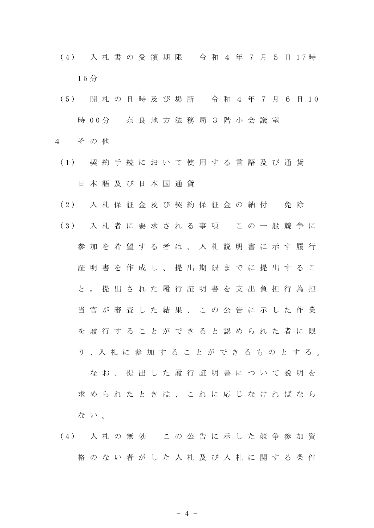- ( 4 ) 入 札 書 の 受 領 期 限 令 和 4 年 7 月 5 日 1 7 時 1 5 分
- ( 5 ) 開 札 の 日 時 及 び 場 所 令 和 4 年 7 月 6 日 1 0 時 0 0 分 奈 良 地 方 法 務 局 3 階 小 会 議 室
- 4 そ の 他
	- ( 1 ) 契 約 手 続 に お い て 使 用 す る 言 語 及 び 通 貨 日 本 語 及 び 日 本 国 通 貨
	- (2) 入札保証金及び契約保証金の納付 免除
	- ( 3 ) 入 札 者 に 要 求 さ れ る 事 項 こ の 一 般 競 争 に 参 加 を 希 望 す る 者 は 、 入 札 説 明 書 に 示 す 履 行 証 明 書 を 作 成 し 、 提 出 期 限 ま で に 提 出 す る こ と 。 提 出 さ れ た 履 行 証 明 書 を 支 出 負 担 行 為 担 当 官 が 審 査 し た 結 果 、 こ の 公 告 に 示 し た 作 業 を 履 行 す る こ と が で き る と 認 め ら れ た 者 に 限 り 、入 札 に 参 加 す る こ と が で き る も の と す る 。 な お 、 提 出 し た 履 行 証 明 書 に つ い て 説 明 を 求 め ら れ た と き は 、 こ れ に 応 じ な け れ ば な ら な い 。
	- ( 4 ) 入 札 の 無 効 こ の 公 告 に 示 し た 競 争 参 加 資 格 の な い 者 が し た 入 札 及 び 入 札 に 関 す る 条 件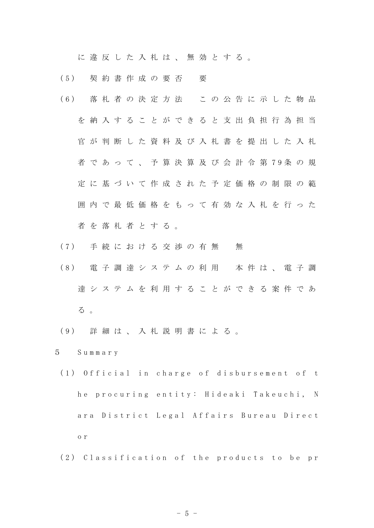に 違 反 し た 入 札 は 、 無 効 と す る 。

- ( 5 ) 契 約 書 作 成 の 要 否 要
- ( 6 ) 落 札 者 の 決 定 方 法 こ の 公 告 に 示 し た 物 品 を 納 入 す る こ と が で き る と 支 出 負 担 行 為 担 当 官 が 判 断 し た 資 料 及 び 入 札 書 を 提 出 し た 入 札 者 で あ っ て 、 予 算 決 算 及 び 会 計 令 第 7 9 条 の 規 定 に 基 づ い て 作 成 さ れ た 予 定 価 格 の 制 限 の 範 囲 内 で 最 低 価 格 を も っ て 有 効 な 入 札 を 行 っ た 者を落札者とする。
- (7) 手続における交渉の有無 無
- ( 8 ) 電 子 調 達 シ ス テ ム の 利 用 本 件 は 、 電 子 調 達 シ ス テ ム を 利 用 す る こ と が で き る 案 件 で あ る 。
- ( 9 ) 詳 細 は 、 入 札 説 明 書 に よ る 。
- 5 S u m m a r y
- (1) Official in charge of disbursement of t he procuring entity: Hideaki Takeuchi, N ara District Legal Affairs Bureau Direct o r
- (2) Classification of the products to be pr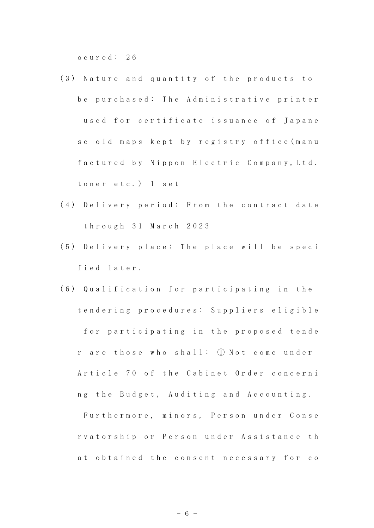o c u r e d : 2 6

- (3) Nature and quantity of the products to be purchased: The Administrative printer used for certificate issuance of Japane se old maps kept by registry office (manu factured by Nippon Electric Company, Ltd. toner etc.) 1 set
- (4) Delivery period: From the contract date t h r o u g h 3 1 M a r c h 2 0 2 3
- (5) Delivery place: The place will be speci fied later.
- (6) Qualification for participating in the t e n d e r i n g p r o c e d u r e s : S u p p l i e r s e l i g i b l e for participating in the proposed tende r are those who shall: ① Not come under Article 70 of the Cabinet Order concerni ng the Budget, Auditing and Accounting.

Furthermore, minors, Person under Conse rvatorship or Person under Assistance th at obtained the consent necessary for co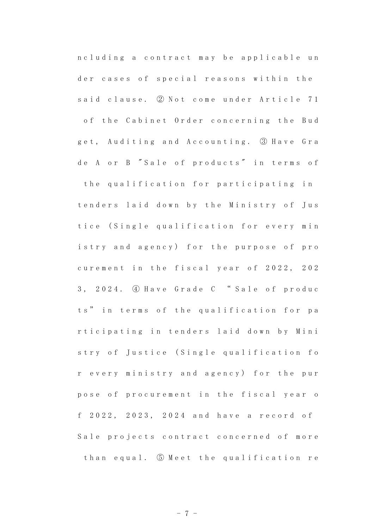n c l u d i n g a contract may be applicable un der cases of special reasons within the said clause. ② Not come under Article 71 of the Cabinet Order concerning the Bud get, Auditing and Accounting. 3 Have Gra de A or B "Sale of products" in terms of the qualification for participating in tenders laid down by the Ministry of Jus tice (Single qualification for every min istry and agency) for the purpose of pro curement in the fiscal year of 2022, 202 3, 2024. 4 Have Grade C "Sale of produc ts" in terms of the qualification for pa rticipating in tenders laid down by Mini stry of Justice (Single qualification fo r every ministry and agency) for the pur pose of procurement in the fiscal year o f 2022, 2023, 2024 and have a record of Sale projects contract concerned of more than equal. 5 Meet the qualification re

- 7 -